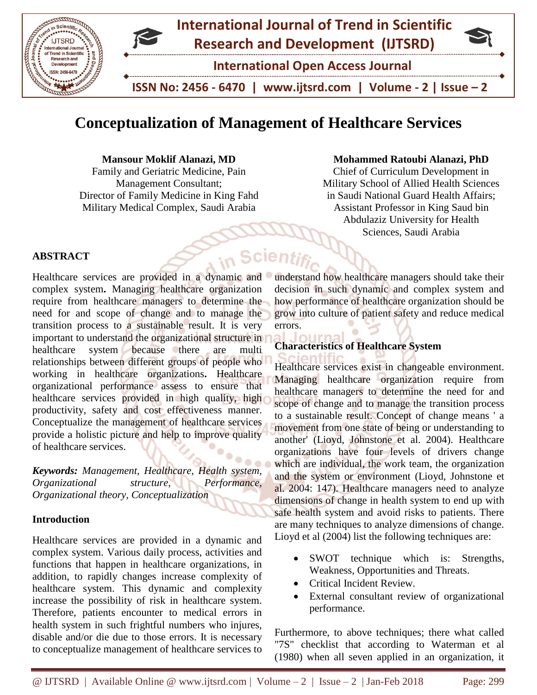

# **Conceptualization of Management of Healthcare Services**

Scient

**Mansour Moklif Alanazi, MD**

Family and Geriatric Medicine, Pain Management Consultant; Director of Family Medicine in King Fahd Military Medical Complex, Saudi Arabia

**Mohammed Ratoubi Alanazi, PhD**

Chief of Curriculum Development in Military School of Allied Health Sciences in Saudi National Guard Health Affairs; Assistant Professor in King Saud bin Abdulaziz University for Health Sciences, Saudi Arabia

## **ABSTRACT**

Healthcare services are provided in a dynamic and complex system**.** Managing healthcare organization require from healthcare managers to determine the need for and scope of change and to manage the transition process to a sustainable result. It is very important to understand the organizational structure in healthcare system because there are multi relationships between different groups of people who working in healthcare organizations**.** Healthcare organizational performance assess to ensure that healthcare services provided in high quality, high productivity, safety and cost effectiveness manner. Conceptualize the management of healthcare services provide a holistic picture and help to improve quality of healthcare services.

*Keywords: Management, Healthcare, Health system, Organizational structure, Performance, Organizational theory, Conceptualization*

## **Introduction**

Healthcare services are provided in a dynamic and complex system. Various daily process, activities and functions that happen in healthcare organizations, in addition, to rapidly changes increase complexity of healthcare system. This dynamic and complexity increase the possibility of risk in healthcare system. Therefore, patients encounter to medical errors in health system in such frightful numbers who injures, disable and/or die due to those errors. It is necessary to conceptualize management of healthcare services to

understand how healthcare managers should take their decision in such dynamic and complex system and how performance of healthcare organization should be grow into culture of patient safety and reduce medical errors.

## **Characteristics of Healthcare System**

Healthcare services exist in changeable environment. Managing healthcare organization require from healthcare managers to determine the need for and scope of change and to manage the transition process to a sustainable result. Concept of change means ' a movement from one state of being or understanding to another' (Lioyd, Johnstone et al. 2004). Healthcare organizations have four levels of drivers change which are individual, the work team, the organization and the system or environment (Lioyd, Johnstone et al. 2004: 147). Healthcare managers need to analyze dimensions of change in health system to end up with safe health system and avoid risks to patients. There are many techniques to analyze dimensions of change. Lioyd et al (2004) list the following techniques are:

- SWOT technique which is: Strengths, Weakness, Opportunities and Threats.
- Critical Incident Review.
- External consultant review of organizational performance.

Furthermore, to above techniques; there what called "7S" checklist that according to Waterman et al (1980) when all seven applied in an organization, it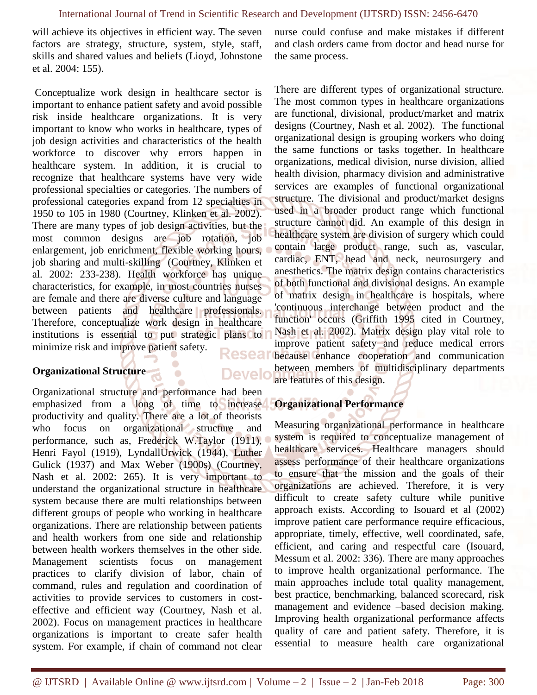will achieve its objectives in efficient way. The seven factors are strategy, structure, system, style, staff, skills and shared values and beliefs (Lioyd, Johnstone et al. 2004: 155).

nurse could confuse and make mistakes if different and clash orders came from doctor and head nurse for the same process.

Conceptualize work design in healthcare sector is important to enhance patient safety and avoid possible risk inside healthcare organizations. It is very important to know who works in healthcare, types of job design activities and characteristics of the health workforce to discover why errors happen in healthcare system. In addition, it is crucial to recognize that healthcare systems have very wide professional specialties or categories. The numbers of professional categories expand from 12 specialties in 1950 to 105 in 1980 (Courtney, Klinken et al. 2002). There are many types of job design activities, but the most common designs are job rotation, job enlargement, job enrichment, flexible working hours, job sharing and multi-skilling (Courtney, Klinken et al. 2002: 233-238). Health workforce has unique characteristics, for example, in most countries nurses are female and there are diverse culture and language between patients and healthcare professionals. Therefore, conceptualize work design in healthcare institutions is essential to put strategic plans to minimize risk and improve patient safety.

#### **Organizational Structure**

**Develo** 

Organizational structure and performance had been emphasized from a long of time to increase productivity and quality. There are a lot of theorists who focus on organizational structure and performance, such as, Frederick W.Taylor (1911), Henri Fayol (1919), LyndallUrwick (1944), Luther Gulick (1937) and Max Weber (1900s) (Courtney, Nash et al. 2002: 265). It is very important to understand the organizational structure in healthcare system because there are multi relationships between different groups of people who working in healthcare organizations. There are relationship between patients and health workers from one side and relationship between health workers themselves in the other side. Management scientists focus on management practices to clarify division of labor, chain of command, rules and regulation and coordination of activities to provide services to customers in costeffective and efficient way (Courtney, Nash et al. 2002). Focus on management practices in healthcare organizations is important to create safer health system. For example, if chain of command not clear

There are different types of organizational structure. The most common types in healthcare organizations are functional, divisional, product/market and matrix designs (Courtney, Nash et al. 2002). The functional organizational design is grouping workers who doing the same functions or tasks together. In healthcare organizations, medical division, nurse division, allied health division, pharmacy division and administrative services are examples of functional organizational structure. The divisional and product/market designs used in a broader product range which functional structure cannot did. An example of this design in healthcare system are division of surgery which could contain large product range, such as, vascular, cardiac, ENT, head and neck, neurosurgery and anesthetics. The matrix design contains characteristics of both functional and divisional designs. An example of matrix design in healthcare is hospitals, where 'continuous interchange between product and the function' occurs (Griffith 1995 cited in Courtney, Nash et al. 2002). Matrix design play vital role to improve patient safety and reduce medical errors Resear because enhance cooperation and communication between members of multidisciplinary departments are features of this design.

#### **Organizational Performance**

Measuring organizational performance in healthcare system is required to conceptualize management of healthcare services. Healthcare managers should assess performance of their healthcare organizations to ensure that the mission and the goals of their organizations are achieved. Therefore, it is very difficult to create safety culture while punitive approach exists. According to Isouard et al (2002) improve patient care performance require efficacious, appropriate, timely, effective, well coordinated, safe, efficient, and caring and respectful care (Isouard, Messum et al. 2002: 336). There are many approaches to improve health organizational performance. The main approaches include total quality management, best practice, benchmarking, balanced scorecard, risk management and evidence –based decision making. Improving health organizational performance affects quality of care and patient safety. Therefore, it is essential to measure health care organizational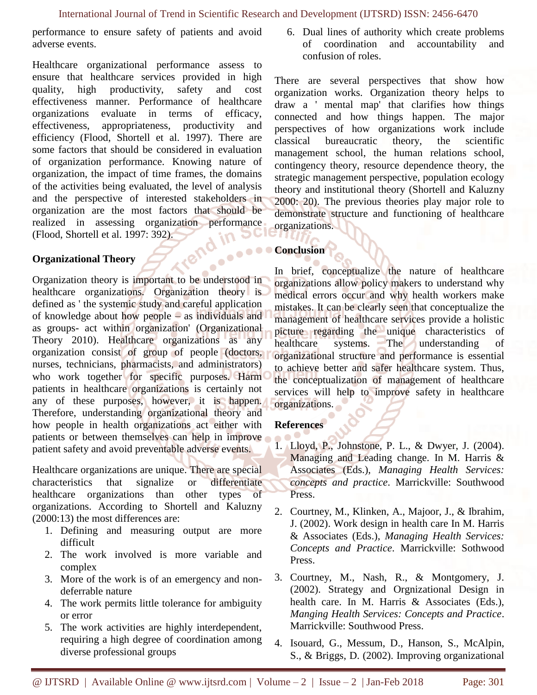performance to ensure safety of patients and avoid adverse events.

Healthcare organizational performance assess to ensure that healthcare services provided in high quality, high productivity, safety and cost effectiveness manner. Performance of healthcare organizations evaluate in terms of efficacy, effectiveness, appropriateness, productivity and efficiency (Flood, Shortell et al. 1997). There are some factors that should be considered in evaluation of organization performance. Knowing nature of organization, the impact of time frames, the domains of the activities being evaluated, the level of analysis and the perspective of interested stakeholders in organization are the most factors that should be realized in assessing organization performance (Flood, Shortell et al. 1997: 392).

## **Organizational Theory**

Organization theory is important to be understood in healthcare organizations. Organization theory is defined as ' the systemic study and careful application of knowledge about how people – as individuals and as groups- act within organization' (Organizational Theory 2010). Healthcare organizations as any organization consist of group of people (doctors, nurses, technicians, pharmacists, and administrators) who work together for specific purposes. Harm patients in healthcare organizations is certainly not any of these purposes, however, it is happen. Therefore, understanding organizational theory and how people in health organizations act either with patients or between themselves can help in improve patient safety and avoid preventable adverse events.

Healthcare organizations are unique. There are special characteristics that signalize or differentiate healthcare organizations than other types of organizations. According to Shortell and Kaluzny (2000:13) the most differences are:

- 1. Defining and measuring output are more difficult
- 2. The work involved is more variable and complex
- 3. More of the work is of an emergency and nondeferrable nature
- 4. The work permits little tolerance for ambiguity or error
- 5. The work activities are highly interdependent, requiring a high degree of coordination among diverse professional groups

6. Dual lines of authority which create problems of coordination and accountability and confusion of roles.

There are several perspectives that show how organization works. Organization theory helps to draw a ' mental map' that clarifies how things connected and how things happen. The major perspectives of how organizations work include classical bureaucratic theory, the scientific management school, the human relations school, contingency theory, resource dependence theory, the strategic management perspective, population ecology theory and institutional theory (Shortell and Kaluzny 2000: 20). The previous theories play major role to demonstrate structure and functioning of healthcare organizations.

## **Conclusion**

In brief, conceptualize the nature of healthcare organizations allow policy makers to understand why medical errors occur and why health workers make mistakes. It can be clearly seen that conceptualize the management of healthcare services provide a holistic picture regarding the unique characteristics of healthcare systems. The understanding of organizational structure and performance is essential to achieve better and safer healthcare system. Thus, the conceptualization of management of healthcare services will help to improve safety in healthcare organizations.

## **References**

- 1. Lloyd, P., Johnstone, P. L., & Dwyer, J. (2004). Managing and Leading change. In M. Harris & Associates (Eds.), *Managing Health Services: concepts and practice*. Marrickville: Southwood Press.
- 2. Courtney, M., Klinken, A., Majoor, J., & Ibrahim, J. (2002). Work design in health care In M. Harris & Associates (Eds.), *Managing Health Services: Concepts and Practice*. Marrickville: Sothwood Press.
- 3. Courtney, M., Nash, R., & Montgomery, J. (2002). Strategy and Orgnizational Design in health care. In M. Harris & Associates (Eds.), *Manging Health Services: Concepts and Practice*. Marrickville: Southwood Press.
- 4. Isouard, G., Messum, D., Hanson, S., McAlpin, S., & Briggs, D. (2002). Improving organizational